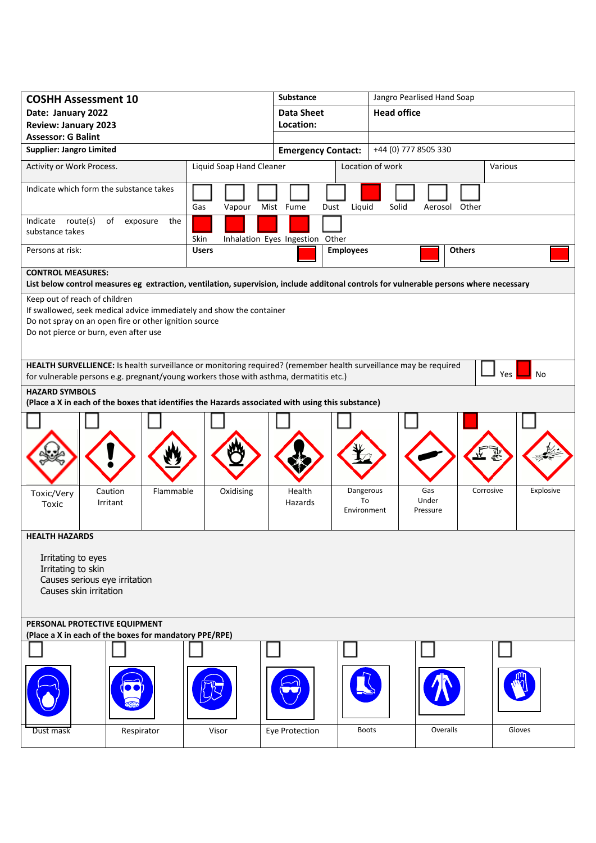| <b>COSHH Assessment 10</b>                                                                                                                                                                                                                                                                                                   | <b>Substance</b>                 |                          |                                 | Jangro Pearlised Hand Soap     |                          |               |           |  |  |
|------------------------------------------------------------------------------------------------------------------------------------------------------------------------------------------------------------------------------------------------------------------------------------------------------------------------------|----------------------------------|--------------------------|---------------------------------|--------------------------------|--------------------------|---------------|-----------|--|--|
| Date: January 2022                                                                                                                                                                                                                                                                                                           | <b>Data Sheet</b>                |                          | <b>Head office</b>              |                                |                          |               |           |  |  |
| <b>Review: January 2023</b>                                                                                                                                                                                                                                                                                                  | Location:                        |                          |                                 |                                |                          |               |           |  |  |
| <b>Assessor: G Balint</b>                                                                                                                                                                                                                                                                                                    |                                  |                          |                                 |                                |                          |               |           |  |  |
| <b>Supplier: Jangro Limited</b>                                                                                                                                                                                                                                                                                              |                                  |                          | <b>Emergency Contact:</b>       |                                | +44 (0) 777 8505 330     |               |           |  |  |
| Activity or Work Process.                                                                                                                                                                                                                                                                                                    |                                  | Liquid Soap Hand Cleaner |                                 |                                | Location of work         |               | Various   |  |  |
| Indicate which form the substance takes                                                                                                                                                                                                                                                                                      |                                  | Gas<br>Vapour            | Mist Fume<br>Dust               | Liquid                         | Solid                    | Aerosol Other |           |  |  |
| Indicate route(s)<br>of exposure<br>the<br>substance takes<br>Skin                                                                                                                                                                                                                                                           |                                  |                          | Inhalation Eyes Ingestion Other |                                |                          |               |           |  |  |
| Persons at risk:                                                                                                                                                                                                                                                                                                             |                                  | <b>Users</b>             |                                 | <b>Employees</b>               |                          | <b>Others</b> |           |  |  |
| <b>CONTROL MEASURES:</b><br>List below control measures eg extraction, ventilation, supervision, include additonal controls for vulnerable persons where necessary                                                                                                                                                           |                                  |                          |                                 |                                |                          |               |           |  |  |
| Keep out of reach of children<br>If swallowed, seek medical advice immediately and show the container<br>Do not spray on an open fire or other ignition source<br>Do not pierce or burn, even after use<br>HEALTH SURVELLIENCE: Is health surveillance or monitoring required? (remember health surveillance may be required |                                  |                          |                                 |                                |                          |               |           |  |  |
| Yes<br>No<br>for vulnerable persons e.g. pregnant/young workers those with asthma, dermatitis etc.)                                                                                                                                                                                                                          |                                  |                          |                                 |                                |                          |               |           |  |  |
| <b>HAZARD SYMBOLS</b><br>(Place a X in each of the boxes that identifies the Hazards associated with using this substance)                                                                                                                                                                                                   |                                  |                          |                                 |                                |                          |               |           |  |  |
|                                                                                                                                                                                                                                                                                                                              |                                  |                          |                                 |                                |                          |               |           |  |  |
| Toxic/Very<br>Toxic                                                                                                                                                                                                                                                                                                          | Flammable<br>Caution<br>Irritant | Oxidising                | Health<br>Hazards               | Dangerous<br>To<br>Environment | Gas<br>Under<br>Pressure | Corrosive     | Explosive |  |  |
| <b>HEALTH HAZARDS</b>                                                                                                                                                                                                                                                                                                        |                                  |                          |                                 |                                |                          |               |           |  |  |
| Irritating to eyes<br>Irritating to skin<br>Causes serious eye irritation<br>Causes skin irritation                                                                                                                                                                                                                          |                                  |                          |                                 |                                |                          |               |           |  |  |
| PERSONAL PROTECTIVE EQUIPMENT<br>(Place a X in each of the boxes for mandatory PPE/RPE)                                                                                                                                                                                                                                      |                                  |                          |                                 |                                |                          |               |           |  |  |
|                                                                                                                                                                                                                                                                                                                              |                                  |                          |                                 |                                |                          |               |           |  |  |
|                                                                                                                                                                                                                                                                                                                              |                                  |                          |                                 |                                |                          |               |           |  |  |
| Dust mask                                                                                                                                                                                                                                                                                                                    | Respirator                       | Visor                    | Eye Protection                  | <b>Boots</b>                   |                          | Overalls      | Gloves    |  |  |